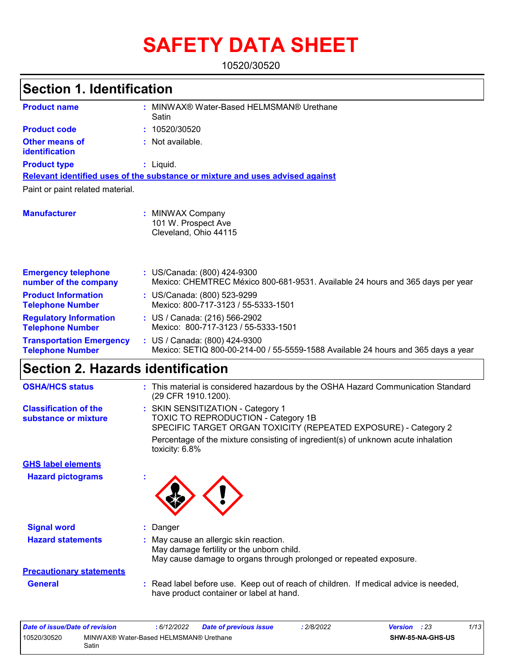# **SAFETY DATA SHEET**

10520/30520

| <b>Section 1. Identification</b>                           |                                                                                                                    |
|------------------------------------------------------------|--------------------------------------------------------------------------------------------------------------------|
| <b>Product name</b>                                        | : MINWAX® Water-Based HELMSMAN® Urethane<br>Satin                                                                  |
| <b>Product code</b>                                        | 10520/30520<br>÷.                                                                                                  |
| <b>Other means of</b><br>identification                    | : Not available.                                                                                                   |
| <b>Product type</b>                                        | $:$ Liquid.                                                                                                        |
|                                                            | Relevant identified uses of the substance or mixture and uses advised against                                      |
| Paint or paint related material.                           |                                                                                                                    |
| <b>Manufacturer</b>                                        | MINWAX Company<br>101 W. Prospect Ave<br>Cleveland, Ohio 44115                                                     |
| <b>Emergency telephone</b><br>number of the company        | : US/Canada: (800) 424-9300<br>Mexico: CHEMTREC México 800-681-9531. Available 24 hours and 365 days per year      |
| <b>Product Information</b><br><b>Telephone Number</b>      | : US/Canada: (800) 523-9299<br>Mexico: 800-717-3123 / 55-5333-1501                                                 |
| <b>Regulatory Information</b><br><b>Telephone Number</b>   | : US / Canada: (216) 566-2902<br>Mexico: 800-717-3123 / 55-5333-1501                                               |
| <b>Transportation Emergency</b><br><b>Telephone Number</b> | : US / Canada: (800) 424-9300<br>Mexico: SETIQ 800-00-214-00 / 55-5559-1588 Available 24 hours and 365 days a year |
| <b>Section 2. Hazards identification</b>                   |                                                                                                                    |
| <b>OSHA/HCS status</b>                                     | : This material is considered hazardous by the OSHA Hazard Communication Standard<br>(29 CFR 1910.1200).           |
| <b>Classification of the</b><br>substance or mixture       | : SKIN SENSITIZATION - Category 1<br><b>TOXIC TO REPRODUCTION - Category 1B</b>                                    |

SPECIFIC TARGET ORGAN TOXICITY (REPEATED EXPOSURE) - Category 2 Percentage of the mixture consisting of ingredient(s) of unknown acute inhalation toxicity: 6.8%

**Hazard pictograms : GHS label elements**

**Signal word :** Danger **Hazard statements :**

: May cause an allergic skin reaction. May damage fertility or the unborn child. May cause damage to organs through prolonged or repeated exposure.

# **Precautionary statements**

**General :** Read label before use. Keep out of reach of children. If medical advice is needed, have product container or label at hand.

| Date of issue/Date of revision |                                                 | : 6/12/2022 | Date of previous issue | 2/8/2022 | <b>Version</b> : 23 |                  | 1/13 |
|--------------------------------|-------------------------------------------------|-------------|------------------------|----------|---------------------|------------------|------|
| 10520/30520                    | MINWAX® Water-Based HELMSMAN® Urethane<br>Satin |             |                        |          |                     | SHW-85-NA-GHS-US |      |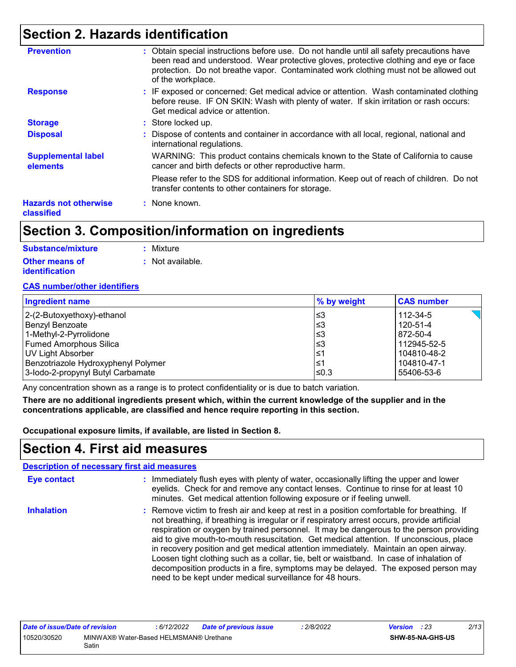## **Section 2. Hazards identification**

| <b>Prevention</b>                          | : Obtain special instructions before use. Do not handle until all safety precautions have<br>been read and understood. Wear protective gloves, protective clothing and eye or face<br>protection. Do not breathe vapor. Contaminated work clothing must not be allowed out<br>of the workplace. |
|--------------------------------------------|-------------------------------------------------------------------------------------------------------------------------------------------------------------------------------------------------------------------------------------------------------------------------------------------------|
| <b>Response</b>                            | : IF exposed or concerned: Get medical advice or attention. Wash contaminated clothing<br>before reuse. IF ON SKIN: Wash with plenty of water. If skin irritation or rash occurs:<br>Get medical advice or attention.                                                                           |
| <b>Storage</b>                             | : Store locked up.                                                                                                                                                                                                                                                                              |
| <b>Disposal</b>                            | : Dispose of contents and container in accordance with all local, regional, national and<br>international regulations.                                                                                                                                                                          |
| <b>Supplemental label</b><br>elements      | WARNING: This product contains chemicals known to the State of California to cause<br>cancer and birth defects or other reproductive harm.                                                                                                                                                      |
|                                            | Please refer to the SDS for additional information. Keep out of reach of children. Do not<br>transfer contents to other containers for storage.                                                                                                                                                 |
| <b>Hazards not otherwise</b><br>classified | : None known.                                                                                                                                                                                                                                                                                   |

## **Section 3. Composition/information on ingredients**

| Substance/mixture                              | : Mixture        |
|------------------------------------------------|------------------|
| <b>Other means of</b><br><b>identification</b> | : Not available. |

#### **CAS number/other identifiers**

| <b>Ingredient name</b>              | % by weight | <b>CAS number</b> |
|-------------------------------------|-------------|-------------------|
| 2-(2-Butoxyethoxy)-ethanol          | l≤3         | 112-34-5          |
| Benzyl Benzoate                     | l≤3         | 120-51-4          |
| 1-Methyl-2-Pyrrolidone              | l≤3         | 872-50-4          |
| Fumed Amorphous Silica              | l≤3         | 112945-52-5       |
| UV Light Absorber                   | l≤1         | 104810-48-2       |
| Benzotriazole Hydroxyphenyl Polymer | ∣≤1         | 104810-47-1       |
| 3-lodo-2-propynyl Butyl Carbamate   | ≤0.3        | 55406-53-6        |

Any concentration shown as a range is to protect confidentiality or is due to batch variation.

**There are no additional ingredients present which, within the current knowledge of the supplier and in the concentrations applicable, are classified and hence require reporting in this section.**

**Occupational exposure limits, if available, are listed in Section 8.**

### **Section 4. First aid measures**

|                   | <b>Description of necessary first aid measures</b>                                                                                                                                                                                                                                                                                                                                                                                                                                                                                                                                                                                                                                                                  |
|-------------------|---------------------------------------------------------------------------------------------------------------------------------------------------------------------------------------------------------------------------------------------------------------------------------------------------------------------------------------------------------------------------------------------------------------------------------------------------------------------------------------------------------------------------------------------------------------------------------------------------------------------------------------------------------------------------------------------------------------------|
| Eye contact       | : Immediately flush eyes with plenty of water, occasionally lifting the upper and lower<br>eyelids. Check for and remove any contact lenses. Continue to rinse for at least 10<br>minutes. Get medical attention following exposure or if feeling unwell.                                                                                                                                                                                                                                                                                                                                                                                                                                                           |
| <b>Inhalation</b> | : Remove victim to fresh air and keep at rest in a position comfortable for breathing. If<br>not breathing, if breathing is irregular or if respiratory arrest occurs, provide artificial<br>respiration or oxygen by trained personnel. It may be dangerous to the person providing<br>aid to give mouth-to-mouth resuscitation. Get medical attention. If unconscious, place<br>in recovery position and get medical attention immediately. Maintain an open airway.<br>Loosen tight clothing such as a collar, tie, belt or waistband. In case of inhalation of<br>decomposition products in a fire, symptoms may be delayed. The exposed person may<br>need to be kept under medical surveillance for 48 hours. |

| Date of issue/Date of revision |                                                 | 6/12/2022 | <b>Date of previous issue</b> | 2/8/2022 | <b>Version</b> : 23 |                         | 2/13 |
|--------------------------------|-------------------------------------------------|-----------|-------------------------------|----------|---------------------|-------------------------|------|
| 10520/30520                    | MINWAX® Water-Based HELMSMAN® Urethane<br>Satin |           |                               |          |                     | <b>SHW-85-NA-GHS-US</b> |      |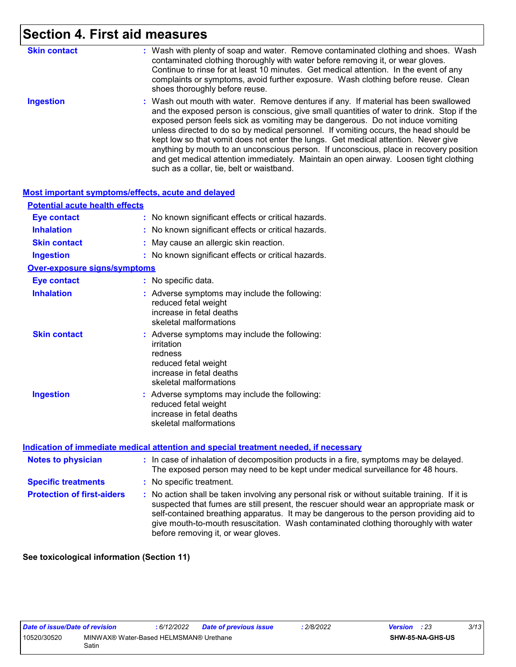## **Section 4. First aid measures**

| <b>Skin contact</b> | : Wash with plenty of soap and water. Remove contaminated clothing and shoes. Wash<br>contaminated clothing thoroughly with water before removing it, or wear gloves.<br>Continue to rinse for at least 10 minutes. Get medical attention. In the event of any<br>complaints or symptoms, avoid further exposure. Wash clothing before reuse. Clean<br>shoes thoroughly before reuse.                                                                                                                                                                                                                                                                                             |
|---------------------|-----------------------------------------------------------------------------------------------------------------------------------------------------------------------------------------------------------------------------------------------------------------------------------------------------------------------------------------------------------------------------------------------------------------------------------------------------------------------------------------------------------------------------------------------------------------------------------------------------------------------------------------------------------------------------------|
| <b>Ingestion</b>    | : Wash out mouth with water. Remove dentures if any. If material has been swallowed<br>and the exposed person is conscious, give small quantities of water to drink. Stop if the<br>exposed person feels sick as vomiting may be dangerous. Do not induce vomiting<br>unless directed to do so by medical personnel. If vomiting occurs, the head should be<br>kept low so that vomit does not enter the lungs. Get medical attention. Never give<br>anything by mouth to an unconscious person. If unconscious, place in recovery position<br>and get medical attention immediately. Maintain an open airway. Loosen tight clothing<br>such as a collar, tie, belt or waistband. |

#### **Most important symptoms/effects, acute and delayed**

| <b>Potential acute health effects</b> |                                                                                                                                                      |
|---------------------------------------|------------------------------------------------------------------------------------------------------------------------------------------------------|
| <b>Eye contact</b>                    | : No known significant effects or critical hazards.                                                                                                  |
| <b>Inhalation</b>                     | : No known significant effects or critical hazards.                                                                                                  |
| <b>Skin contact</b>                   | May cause an allergic skin reaction.                                                                                                                 |
| <b>Ingestion</b>                      | : No known significant effects or critical hazards.                                                                                                  |
| <b>Over-exposure signs/symptoms</b>   |                                                                                                                                                      |
| <b>Eye contact</b>                    | : No specific data.                                                                                                                                  |
| <b>Inhalation</b>                     | : Adverse symptoms may include the following:<br>reduced fetal weight<br>increase in fetal deaths<br>skeletal malformations                          |
| <b>Skin contact</b>                   | : Adverse symptoms may include the following:<br>irritation<br>redness<br>reduced fetal weight<br>increase in fetal deaths<br>skeletal malformations |
| <b>Ingestion</b>                      | : Adverse symptoms may include the following:<br>reduced fetal weight<br>increase in fetal deaths<br>skeletal malformations                          |
|                                       | 11 a cathair i # theann a 11 can i na cathairt i adhnaith an chuil i na chliathair cadhnaich an chliath. T# na                                       |

#### **Indication of immediate medical attention and special treatment needed, if necessary**

| <b>Notes to physician</b>         | : In case of inhalation of decomposition products in a fire, symptoms may be delayed.<br>The exposed person may need to be kept under medical surveillance for 48 hours.                                                                                                                                                                                                                                        |  |  |  |
|-----------------------------------|-----------------------------------------------------------------------------------------------------------------------------------------------------------------------------------------------------------------------------------------------------------------------------------------------------------------------------------------------------------------------------------------------------------------|--|--|--|
| <b>Specific treatments</b>        | : No specific treatment.                                                                                                                                                                                                                                                                                                                                                                                        |  |  |  |
| <b>Protection of first-aiders</b> | : No action shall be taken involving any personal risk or without suitable training. If it is<br>suspected that fumes are still present, the rescuer should wear an appropriate mask or<br>self-contained breathing apparatus. It may be dangerous to the person providing aid to<br>give mouth-to-mouth resuscitation. Wash contaminated clothing thoroughly with water<br>before removing it, or wear gloves. |  |  |  |

**See toxicological information (Section 11)**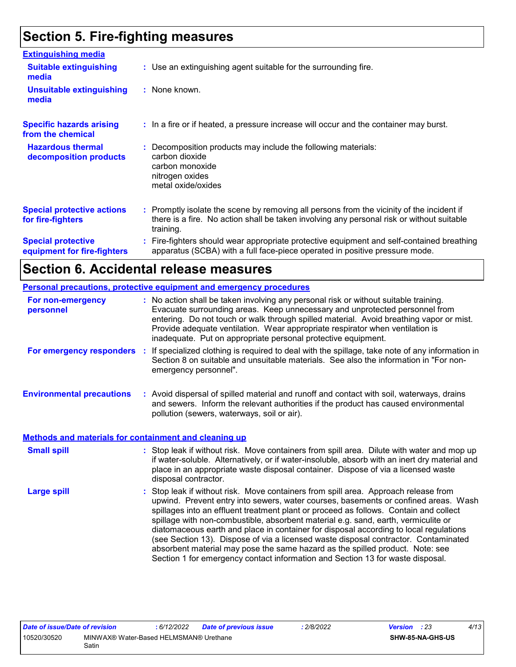## **Section 5. Fire-fighting measures**

| <b>Extinguishing media</b>                               |                                                                                                                                                                                                     |
|----------------------------------------------------------|-----------------------------------------------------------------------------------------------------------------------------------------------------------------------------------------------------|
| <b>Suitable extinguishing</b><br>media                   | : Use an extinguishing agent suitable for the surrounding fire.                                                                                                                                     |
| <b>Unsuitable extinguishing</b><br>media                 | : None known.                                                                                                                                                                                       |
| <b>Specific hazards arising</b><br>from the chemical     | : In a fire or if heated, a pressure increase will occur and the container may burst.                                                                                                               |
| <b>Hazardous thermal</b><br>decomposition products       | Decomposition products may include the following materials:<br>carbon dioxide<br>carbon monoxide<br>nitrogen oxides<br>metal oxide/oxides                                                           |
| <b>Special protective actions</b><br>for fire-fighters   | : Promptly isolate the scene by removing all persons from the vicinity of the incident if<br>there is a fire. No action shall be taken involving any personal risk or without suitable<br>training. |
| <b>Special protective</b><br>equipment for fire-fighters | : Fire-fighters should wear appropriate protective equipment and self-contained breathing<br>apparatus (SCBA) with a full face-piece operated in positive pressure mode.                            |

### **Section 6. Accidental release measures**

|                                                              | Personal precautions, protective equipment and emergency procedures                                                                                                                                                                                                                                                                                                                                                                                                                                                                                                                                                                                                                                          |
|--------------------------------------------------------------|--------------------------------------------------------------------------------------------------------------------------------------------------------------------------------------------------------------------------------------------------------------------------------------------------------------------------------------------------------------------------------------------------------------------------------------------------------------------------------------------------------------------------------------------------------------------------------------------------------------------------------------------------------------------------------------------------------------|
| For non-emergency<br>personnel                               | : No action shall be taken involving any personal risk or without suitable training.<br>Evacuate surrounding areas. Keep unnecessary and unprotected personnel from<br>entering. Do not touch or walk through spilled material. Avoid breathing vapor or mist.<br>Provide adequate ventilation. Wear appropriate respirator when ventilation is<br>inadequate. Put on appropriate personal protective equipment.                                                                                                                                                                                                                                                                                             |
| For emergency responders                                     | If specialized clothing is required to deal with the spillage, take note of any information in<br>÷.<br>Section 8 on suitable and unsuitable materials. See also the information in "For non-<br>emergency personnel".                                                                                                                                                                                                                                                                                                                                                                                                                                                                                       |
| <b>Environmental precautions</b>                             | : Avoid dispersal of spilled material and runoff and contact with soil, waterways, drains<br>and sewers. Inform the relevant authorities if the product has caused environmental<br>pollution (sewers, waterways, soil or air).                                                                                                                                                                                                                                                                                                                                                                                                                                                                              |
| <b>Methods and materials for containment and cleaning up</b> |                                                                                                                                                                                                                                                                                                                                                                                                                                                                                                                                                                                                                                                                                                              |
| <b>Small spill</b>                                           | : Stop leak if without risk. Move containers from spill area. Dilute with water and mop up<br>if water-soluble. Alternatively, or if water-insoluble, absorb with an inert dry material and<br>place in an appropriate waste disposal container. Dispose of via a licensed waste<br>disposal contractor.                                                                                                                                                                                                                                                                                                                                                                                                     |
| <b>Large spill</b>                                           | : Stop leak if without risk. Move containers from spill area. Approach release from<br>upwind. Prevent entry into sewers, water courses, basements or confined areas. Wash<br>spillages into an effluent treatment plant or proceed as follows. Contain and collect<br>spillage with non-combustible, absorbent material e.g. sand, earth, vermiculite or<br>diatomaceous earth and place in container for disposal according to local regulations<br>(see Section 13). Dispose of via a licensed waste disposal contractor. Contaminated<br>absorbent material may pose the same hazard as the spilled product. Note: see<br>Section 1 for emergency contact information and Section 13 for waste disposal. |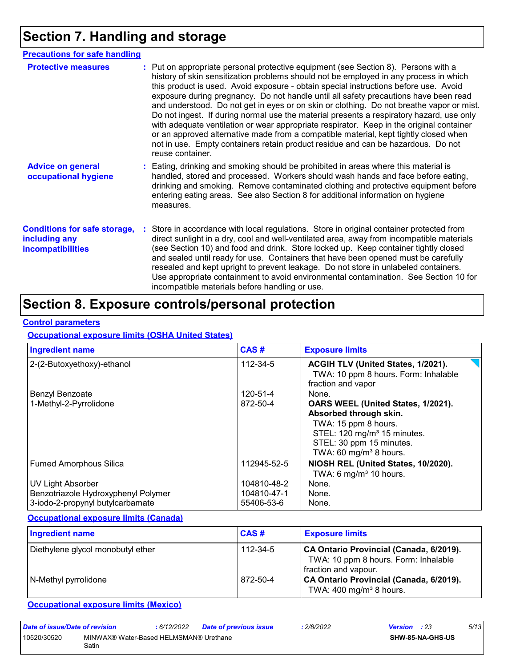## **Section 7. Handling and storage**

| <b>Precautions for safe handling</b>                                      |                                                                                                                                                                                                                                                                                                                                                                                                                                                                                                                                                                                                                                                                                                                                                                                                                                                 |
|---------------------------------------------------------------------------|-------------------------------------------------------------------------------------------------------------------------------------------------------------------------------------------------------------------------------------------------------------------------------------------------------------------------------------------------------------------------------------------------------------------------------------------------------------------------------------------------------------------------------------------------------------------------------------------------------------------------------------------------------------------------------------------------------------------------------------------------------------------------------------------------------------------------------------------------|
| <b>Protective measures</b>                                                | : Put on appropriate personal protective equipment (see Section 8). Persons with a<br>history of skin sensitization problems should not be employed in any process in which<br>this product is used. Avoid exposure - obtain special instructions before use. Avoid<br>exposure during pregnancy. Do not handle until all safety precautions have been read<br>and understood. Do not get in eyes or on skin or clothing. Do not breathe vapor or mist.<br>Do not ingest. If during normal use the material presents a respiratory hazard, use only<br>with adequate ventilation or wear appropriate respirator. Keep in the original container<br>or an approved alternative made from a compatible material, kept tightly closed when<br>not in use. Empty containers retain product residue and can be hazardous. Do not<br>reuse container. |
| <b>Advice on general</b><br>occupational hygiene                          | : Eating, drinking and smoking should be prohibited in areas where this material is<br>handled, stored and processed. Workers should wash hands and face before eating,<br>drinking and smoking. Remove contaminated clothing and protective equipment before<br>entering eating areas. See also Section 8 for additional information on hygiene<br>measures.                                                                                                                                                                                                                                                                                                                                                                                                                                                                                   |
| <b>Conditions for safe storage,</b><br>including any<br>incompatibilities | : Store in accordance with local regulations. Store in original container protected from<br>direct sunlight in a dry, cool and well-ventilated area, away from incompatible materials<br>(see Section 10) and food and drink. Store locked up. Keep container tightly closed<br>and sealed until ready for use. Containers that have been opened must be carefully<br>resealed and kept upright to prevent leakage. Do not store in unlabeled containers.<br>Use appropriate containment to avoid environmental contamination. See Section 10 for<br>incompatible materials before handling or use.                                                                                                                                                                                                                                             |

## **Section 8. Exposure controls/personal protection**

#### **Control parameters**

### **Occupational exposure limits (OSHA United States)**

| <b>Ingredient name</b>                                                  | CAS#                      | <b>Exposure limits</b>                                                                                                                                                                            |
|-------------------------------------------------------------------------|---------------------------|---------------------------------------------------------------------------------------------------------------------------------------------------------------------------------------------------|
| 2-(2-Butoxyethoxy)-ethanol                                              | 112-34-5                  | ACGIH TLV (United States, 1/2021).<br>TWA: 10 ppm 8 hours. Form: Inhalable<br>fraction and vapor                                                                                                  |
| Benzyl Benzoate                                                         | 120-51-4                  | None.                                                                                                                                                                                             |
| 1-Methyl-2-Pyrrolidone                                                  | 872-50-4                  | OARS WEEL (United States, 1/2021).<br>Absorbed through skin.<br>TWA: 15 ppm 8 hours.<br>STEL: 120 mg/m <sup>3</sup> 15 minutes.<br>STEL: 30 ppm 15 minutes.<br>TWA: 60 mg/m <sup>3</sup> 8 hours. |
| <b>Fumed Amorphous Silica</b>                                           | 112945-52-5               | NIOSH REL (United States, 10/2020).<br>TWA: 6 mg/m <sup>3</sup> 10 hours.                                                                                                                         |
| UV Light Absorber                                                       | 104810-48-2               | None.                                                                                                                                                                                             |
| Benzotriazole Hydroxyphenyl Polymer<br>3-iodo-2-propynyl butylcarbamate | 104810-47-1<br>55406-53-6 | None.<br>None.                                                                                                                                                                                    |

### **Occupational exposure limits (Canada)**

| <b>Ingredient name</b>            | CAS#     | <b>Exposure limits</b>                                                                                  |
|-----------------------------------|----------|---------------------------------------------------------------------------------------------------------|
| Diethylene glycol monobutyl ether | 112-34-5 | CA Ontario Provincial (Canada, 6/2019).<br>TWA: 10 ppm 8 hours. Form: Inhalable<br>fraction and vapour. |
| N-Methyl pyrrolidone              | 872-50-4 | CA Ontario Provincial (Canada, 6/2019).<br>TWA: $400 \text{ mg/m}^3$ 8 hours.                           |

### **Occupational exposure limits (Mexico)**

| Date of issue/Date of revision                                 |  | : 6/12/2022 | Date of previous issue | : 2/8/2022 | Version | : 23                    | 5/13 |
|----------------------------------------------------------------|--|-------------|------------------------|------------|---------|-------------------------|------|
| MINWAX® Water-Based HELMSMAN® Urethane<br>10520/30520<br>Satin |  |             |                        |            |         | <b>SHW-85-NA-GHS-US</b> |      |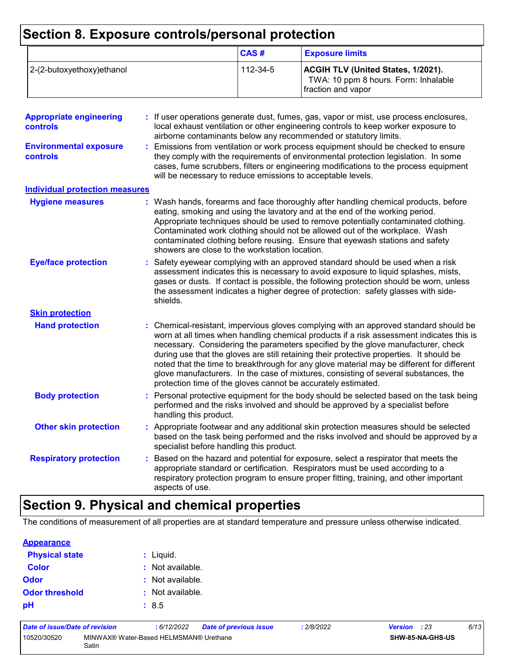## **Section 8. Exposure controls/personal protection**

|                           | CAS#     | <b>Exposure limits</b>                                                                                  |
|---------------------------|----------|---------------------------------------------------------------------------------------------------------|
| 2-(2-butoxyethoxy)ethanol | 112-34-5 | <b>ACGIH TLV (United States, 1/2021).</b><br>TWA: 10 ppm 8 hours. Form: Inhalable<br>fraction and vapor |

| <b>Appropriate engineering</b><br><b>controls</b> |    | : If user operations generate dust, fumes, gas, vapor or mist, use process enclosures,<br>local exhaust ventilation or other engineering controls to keep worker exposure to<br>airborne contaminants below any recommended or statutory limits.                                                                                                                                                                                                                                                                                                                                                                     |
|---------------------------------------------------|----|----------------------------------------------------------------------------------------------------------------------------------------------------------------------------------------------------------------------------------------------------------------------------------------------------------------------------------------------------------------------------------------------------------------------------------------------------------------------------------------------------------------------------------------------------------------------------------------------------------------------|
| <b>Environmental exposure</b><br><b>controls</b>  |    | Emissions from ventilation or work process equipment should be checked to ensure<br>they comply with the requirements of environmental protection legislation. In some<br>cases, fume scrubbers, filters or engineering modifications to the process equipment<br>will be necessary to reduce emissions to acceptable levels.                                                                                                                                                                                                                                                                                        |
| <b>Individual protection measures</b>             |    |                                                                                                                                                                                                                                                                                                                                                                                                                                                                                                                                                                                                                      |
| <b>Hygiene measures</b>                           |    | : Wash hands, forearms and face thoroughly after handling chemical products, before<br>eating, smoking and using the lavatory and at the end of the working period.<br>Appropriate techniques should be used to remove potentially contaminated clothing.<br>Contaminated work clothing should not be allowed out of the workplace. Wash<br>contaminated clothing before reusing. Ensure that eyewash stations and safety<br>showers are close to the workstation location.                                                                                                                                          |
| <b>Eye/face protection</b>                        |    | Safety eyewear complying with an approved standard should be used when a risk<br>assessment indicates this is necessary to avoid exposure to liquid splashes, mists,<br>gases or dusts. If contact is possible, the following protection should be worn, unless<br>the assessment indicates a higher degree of protection: safety glasses with side-<br>shields.                                                                                                                                                                                                                                                     |
| <b>Skin protection</b>                            |    |                                                                                                                                                                                                                                                                                                                                                                                                                                                                                                                                                                                                                      |
| <b>Hand protection</b>                            |    | Chemical-resistant, impervious gloves complying with an approved standard should be<br>worn at all times when handling chemical products if a risk assessment indicates this is<br>necessary. Considering the parameters specified by the glove manufacturer, check<br>during use that the gloves are still retaining their protective properties. It should be<br>noted that the time to breakthrough for any glove material may be different for different<br>glove manufacturers. In the case of mixtures, consisting of several substances, the<br>protection time of the gloves cannot be accurately estimated. |
| <b>Body protection</b>                            |    | Personal protective equipment for the body should be selected based on the task being<br>performed and the risks involved and should be approved by a specialist before<br>handling this product.                                                                                                                                                                                                                                                                                                                                                                                                                    |
| <b>Other skin protection</b>                      |    | : Appropriate footwear and any additional skin protection measures should be selected<br>based on the task being performed and the risks involved and should be approved by a<br>specialist before handling this product.                                                                                                                                                                                                                                                                                                                                                                                            |
| <b>Respiratory protection</b>                     | ÷. | Based on the hazard and potential for exposure, select a respirator that meets the<br>appropriate standard or certification. Respirators must be used according to a<br>respiratory protection program to ensure proper fitting, training, and other important<br>aspects of use.                                                                                                                                                                                                                                                                                                                                    |

## **Section 9. Physical and chemical properties**

The conditions of measurement of all properties are at standard temperature and pressure unless otherwise indicated.

#### **Appearance**

| <b>Physical state</b> | $:$ Liquid.      |
|-----------------------|------------------|
| <b>Color</b>          | : Not available. |
| Odor                  | : Not available. |
| <b>Odor threshold</b> | : Not available. |
| рH                    | : 8.5            |

| Date of issue/Date of revision                                 |  | 6/12/2022 | <b>Date of previous issue</b> | : 2/8/2022 | <b>Version</b> : 23     |  | 6/13 |
|----------------------------------------------------------------|--|-----------|-------------------------------|------------|-------------------------|--|------|
| 10520/30520<br>MINWAX® Water-Based HELMSMAN® Urethane<br>Satin |  |           |                               |            | <b>SHW-85-NA-GHS-US</b> |  |      |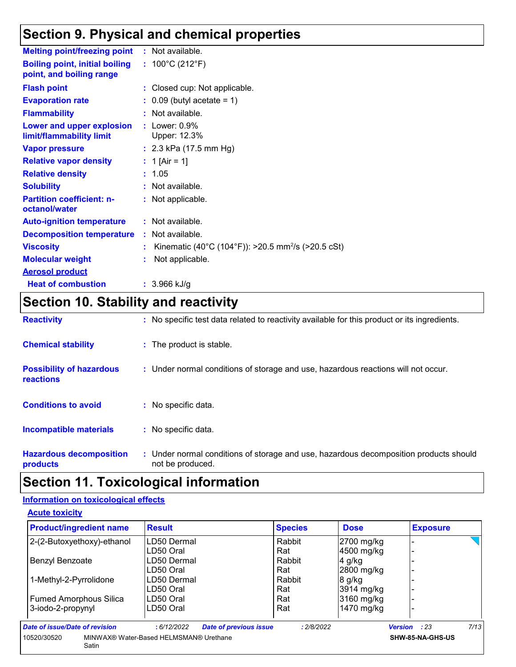## **Section 9. Physical and chemical properties**

| <b>Melting point/freezing point</b>                               | : Not available.                                               |
|-------------------------------------------------------------------|----------------------------------------------------------------|
| <b>Boiling point, initial boiling</b><br>point, and boiling range | : $100^{\circ}$ C (212 $^{\circ}$ F)                           |
| <b>Flash point</b>                                                | : Closed cup: Not applicable.                                  |
| <b>Evaporation rate</b>                                           | $\therefore$ 0.09 (butyl acetate = 1)                          |
| <b>Flammability</b>                                               | : Not available.                                               |
| Lower and upper explosion<br>limit/flammability limit             | $:$ Lower: $0.9\%$<br>Upper: 12.3%                             |
| <b>Vapor pressure</b>                                             | : $2.3$ kPa (17.5 mm Hg)                                       |
| <b>Relative vapor density</b>                                     | : 1 [Air = 1]                                                  |
| <b>Relative density</b>                                           | : 1.05                                                         |
| <b>Solubility</b>                                                 | : Not available.                                               |
| <b>Partition coefficient: n-</b><br>octanol/water                 | : Not applicable.                                              |
| <b>Auto-ignition temperature</b>                                  | : Not available.                                               |
| <b>Decomposition temperature</b>                                  | : Not available.                                               |
| <b>Viscosity</b>                                                  | Kinematic (40°C (104°F)): >20.5 mm <sup>2</sup> /s (>20.5 cSt) |
| <b>Molecular weight</b>                                           | Not applicable.                                                |
| <b>Aerosol product</b>                                            |                                                                |
| <b>Heat of combustion</b>                                         | $: 3.966$ kJ/g                                                 |

## **Section 10. Stability and reactivity**

| <b>Reactivity</b>                            | : No specific test data related to reactivity available for this product or its ingredients.              |
|----------------------------------------------|-----------------------------------------------------------------------------------------------------------|
| <b>Chemical stability</b>                    | : The product is stable.                                                                                  |
| <b>Possibility of hazardous</b><br>reactions | : Under normal conditions of storage and use, hazardous reactions will not occur.                         |
| <b>Conditions to avoid</b>                   | $:$ No specific data.                                                                                     |
| <b>Incompatible materials</b>                | : No specific data.                                                                                       |
| <b>Hazardous decomposition</b><br>products   | : Under normal conditions of storage and use, hazardous decomposition products should<br>not be produced. |

## **Section 11. Toxicological information**

### **Information on toxicological effects**

**Acute toxicity**

| <b>Product/ingredient name</b> | <b>Result</b>                          | <b>Species</b>                              | <b>Dose</b> | <b>Exposure</b>  |      |
|--------------------------------|----------------------------------------|---------------------------------------------|-------------|------------------|------|
| 2-(2-Butoxyethoxy)-ethanol     | LD50 Dermal                            | Rabbit                                      | 2700 mg/kg  |                  |      |
|                                | LD50 Oral                              | Rat                                         | 4500 mg/kg  |                  |      |
| Benzyl Benzoate                | LD50 Dermal                            | Rabbit                                      | $4$ g/kg    |                  |      |
|                                | LD50 Oral                              | Rat                                         | 2800 mg/kg  |                  |      |
| 1-Methyl-2-Pyrrolidone         | LD50 Dermal                            | Rabbit                                      | 8 g/kg      |                  |      |
|                                | LD50 Oral                              | Rat                                         | 3914 mg/kg  |                  |      |
| <b>Fumed Amorphous Silica</b>  | LD50 Oral                              | Rat                                         | 3160 mg/kg  |                  |      |
| 3-iodo-2-propynyl              | LD50 Oral                              | Rat                                         | 1470 mg/kg  |                  |      |
| Date of issue/Date of revision | :6/12/2022                             | <b>Date of previous issue</b><br>: 2/8/2022 |             | Version : 23     | 7/13 |
| 10520/30520<br>Satin           | MINWAX® Water-Based HELMSMAN® Urethane |                                             |             | SHW-85-NA-GHS-US |      |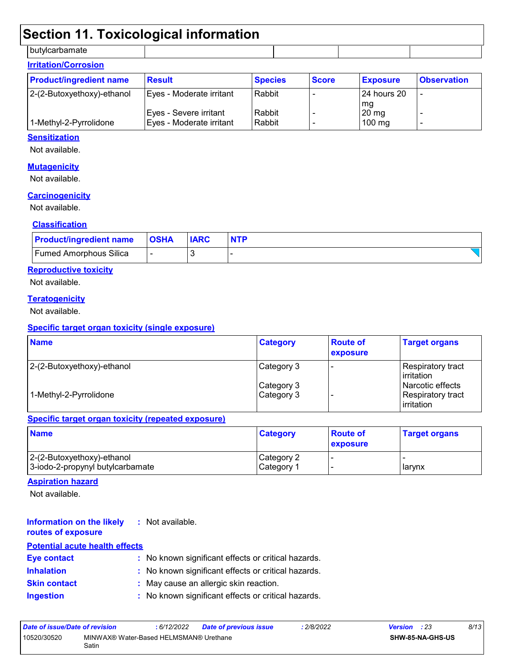### **Section 11. Toxicological information**

butylcarbamate

| <b>Irritation/Corrosion</b>    |                                                     |                  |              |                             |                    |  |  |  |  |
|--------------------------------|-----------------------------------------------------|------------------|--------------|-----------------------------|--------------------|--|--|--|--|
| <b>Product/ingredient name</b> | <b>Result</b>                                       | <b>Species</b>   | <b>Score</b> | <b>Exposure</b>             | <b>Observation</b> |  |  |  |  |
| 2-(2-Butoxyethoxy)-ethanol     | Eyes - Moderate irritant                            | Rabbit           |              | l 24 hours 20<br>l ma       | ٠                  |  |  |  |  |
| 1-Methyl-2-Pyrrolidone         | Eyes - Severe irritant_<br>Eyes - Moderate irritant | Rabbit<br>Rabbit |              | $20 \text{ mg}$<br>$100$ mg |                    |  |  |  |  |

#### **Sensitization**

Not available.

### **Mutagenicity**

Not available.

### **Carcinogenicity**

Not available.

#### **Classification**

| <b>Product/ingredient name</b> | <b>OSHA</b> | <b>IARC</b> |  |
|--------------------------------|-------------|-------------|--|
| <b>Fumed Amorphous Silica</b>  |             |             |  |

### **Reproductive toxicity**

Not available.

#### **Teratogenicity**

Not available.

#### **Specific target organ toxicity (single exposure)**

| <b>Name</b>                | <b>Category</b> | <b>Route of</b><br>exposure | <b>Target organs</b>                     |
|----------------------------|-----------------|-----------------------------|------------------------------------------|
| 2-(2-Butoxyethoxy)-ethanol | Category 3      |                             | Respiratory tract<br><b>l</b> irritation |
|                            | Category 3      |                             | Narcotic effects                         |
| 1-Methyl-2-Pyrrolidone     | Category 3      |                             | Respiratory tract<br><b>lirritation</b>  |

#### **Specific target organ toxicity (repeated exposure)**

| <b>Name</b>                                                    | <b>Category</b>           | <b>Route of</b><br><b>exposure</b> | <b>Target organs</b> |
|----------------------------------------------------------------|---------------------------|------------------------------------|----------------------|
| 2-(2-Butoxyethoxy)-ethanol<br>3-iodo-2-propynyl butylcarbamate | Category 2<br>⊩Category 1 |                                    | <b>I</b> arvnx       |

### **Aspiration hazard**

Not available.

#### **Information on the likely routes of exposure :** Not available.

### **Potential acute health effects**

| <b>Eye contact</b>  | : No known significant effects or critical hazards. |
|---------------------|-----------------------------------------------------|
| <b>Inhalation</b>   | : No known significant effects or critical hazards. |
| <b>Skin contact</b> | : May cause an allergic skin reaction.              |
| <b>Ingestion</b>    | : No known significant effects or critical hazards. |

| Date of issue/Date of revision |                                                 | : 6/12/2022 | <b>Date of previous issue</b> | : 2/8/2022 | <b>Version</b> : 23 |                         | 8/13 |
|--------------------------------|-------------------------------------------------|-------------|-------------------------------|------------|---------------------|-------------------------|------|
| 10520/30520                    | MINWAX® Water-Based HELMSMAN® Urethane<br>Satin |             |                               |            |                     | <b>SHW-85-NA-GHS-US</b> |      |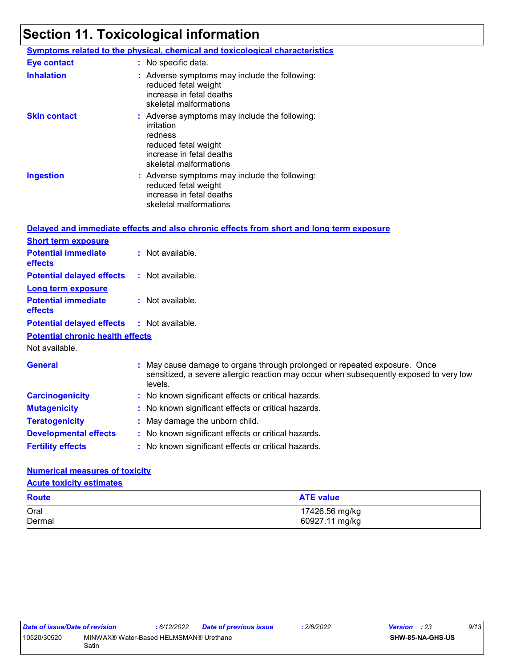## **Section 11. Toxicological information**

|                     | <b>Symptoms related to the physical, chemical and toxicological characteristics</b>                                                                  |
|---------------------|------------------------------------------------------------------------------------------------------------------------------------------------------|
| <b>Eye contact</b>  | : No specific data.                                                                                                                                  |
| <b>Inhalation</b>   | : Adverse symptoms may include the following:<br>reduced fetal weight<br>increase in fetal deaths<br>skeletal malformations                          |
| <b>Skin contact</b> | : Adverse symptoms may include the following:<br>irritation<br>redness<br>reduced fetal weight<br>increase in fetal deaths<br>skeletal malformations |
| <b>Ingestion</b>    | : Adverse symptoms may include the following:<br>reduced fetal weight<br>increase in fetal deaths<br>skeletal malformations                          |

|                                                   | Delayed and immediate effects and also chronic effects from short and long term exposure                                                                                       |
|---------------------------------------------------|--------------------------------------------------------------------------------------------------------------------------------------------------------------------------------|
| <b>Short term exposure</b>                        |                                                                                                                                                                                |
| <b>Potential immediate</b><br><b>effects</b>      | : Not available.                                                                                                                                                               |
| <b>Potential delayed effects</b>                  | : Not available.                                                                                                                                                               |
| <b>Long term exposure</b>                         |                                                                                                                                                                                |
| <b>Potential immediate</b><br><b>effects</b>      | : Not available.                                                                                                                                                               |
| <b>Potential delayed effects : Not available.</b> |                                                                                                                                                                                |
| <b>Potential chronic health effects</b>           |                                                                                                                                                                                |
| Not available.                                    |                                                                                                                                                                                |
| <b>General</b>                                    | : May cause damage to organs through prolonged or repeated exposure. Once<br>sensitized, a severe allergic reaction may occur when subsequently exposed to very low<br>levels. |
| <b>Carcinogenicity</b>                            | : No known significant effects or critical hazards.                                                                                                                            |
| <b>Mutagenicity</b>                               | : No known significant effects or critical hazards.                                                                                                                            |
| <b>Teratogenicity</b>                             | : May damage the unborn child.                                                                                                                                                 |
| <b>Developmental effects</b>                      | : No known significant effects or critical hazards.                                                                                                                            |
| <b>Fertility effects</b>                          | : No known significant effects or critical hazards.                                                                                                                            |

### **Numerical measures of toxicity**

**Acute toxicity estimates**

| <b>Route</b> | <b>ATE value</b> |
|--------------|------------------|
| Oral         | 17426.56 mg/kg   |
| Dermal       | 60927.11 mg/kg   |

| Date of issue/Date of revision |                                                 | : 6/12/2022 | Date of previous issue | 2/8/2022 | <b>Version</b> : 23 |                  | 9/13 |  |
|--------------------------------|-------------------------------------------------|-------------|------------------------|----------|---------------------|------------------|------|--|
| 10520/30520                    | MINWAX® Water-Based HELMSMAN® Urethane<br>Satin |             |                        |          |                     | SHW-85-NA-GHS-US |      |  |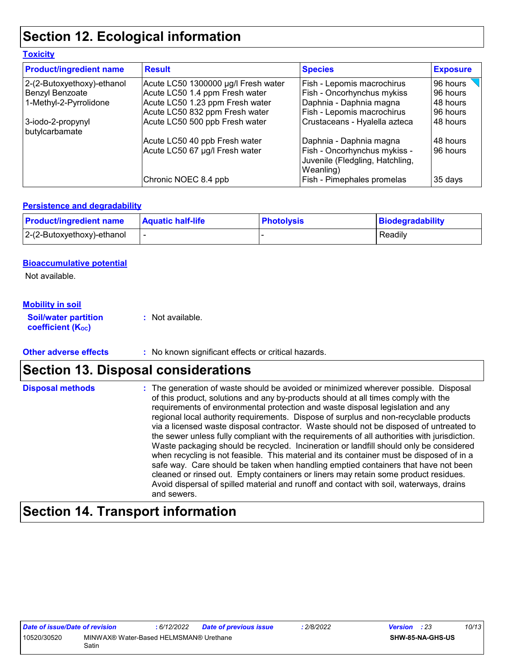## **Section 12. Ecological information**

| <b>Product/ingredient name</b>      | <b>Result</b>                       | <b>Species</b>                                                               | <b>Exposure</b> |
|-------------------------------------|-------------------------------------|------------------------------------------------------------------------------|-----------------|
| 2-(2-Butoxyethoxy)-ethanol          | Acute LC50 1300000 µg/l Fresh water | Fish - Lepomis macrochirus                                                   | 96 hours        |
| Benzyl Benzoate                     | Acute LC50 1.4 ppm Fresh water      | Fish - Oncorhynchus mykiss                                                   | 96 hours        |
| 1-Methyl-2-Pyrrolidone              | Acute LC50 1.23 ppm Fresh water     | Daphnia - Daphnia magna                                                      | 48 hours        |
|                                     | Acute LC50 832 ppm Fresh water      | Fish - Lepomis macrochirus                                                   | 96 hours        |
| 3-iodo-2-propynyl<br>butylcarbamate | Acute LC50 500 ppb Fresh water      | Crustaceans - Hyalella azteca                                                | 48 hours        |
|                                     | Acute LC50 40 ppb Fresh water       | Daphnia - Daphnia magna                                                      | 48 hours        |
|                                     | Acute LC50 67 µg/l Fresh water      | Fish - Oncorhynchus mykiss -<br>Juvenile (Fledgling, Hatchling,<br>Weanling) | 96 hours        |
|                                     | Chronic NOEC 8.4 ppb                | Fish - Pimephales promelas                                                   | 35 days         |

### **Persistence and degradability**

| <b>Product/ingredient name</b> | <b>Aquatic half-life</b> | <b>Photolysis</b> | Biodegradability |
|--------------------------------|--------------------------|-------------------|------------------|
| 2-(2-Butoxyethoxy)-ethanol     |                          |                   | Readily          |

### **Bioaccumulative potential**

Not available.

**Toxicity**

### **Mobility in soil**

**Soil/water partition coefficient (K**<sub>oc</sub>) **:** Not available.

**Other adverse effects** : No known significant effects or critical hazards.

### **Section 13. Disposal considerations**

The generation of waste should be avoided or minimized wherever possible. Disposal of this product, solutions and any by-products should at all times comply with the requirements of environmental protection and waste disposal legislation and any regional local authority requirements. Dispose of surplus and non-recyclable products via a licensed waste disposal contractor. Waste should not be disposed of untreated to the sewer unless fully compliant with the requirements of all authorities with jurisdiction. Waste packaging should be recycled. Incineration or landfill should only be considered when recycling is not feasible. This material and its container must be disposed of in a safe way. Care should be taken when handling emptied containers that have not been cleaned or rinsed out. Empty containers or liners may retain some product residues. Avoid dispersal of spilled material and runoff and contact with soil, waterways, drains and sewers. **Disposal methods :**

### **Section 14. Transport information**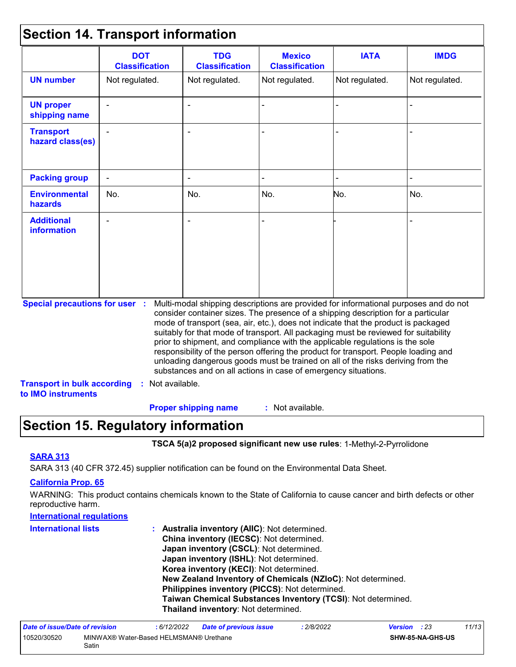### **Section 14. Transport information**

|                                         | <b>DOT</b><br><b>Classification</b> | <b>TDG</b><br><b>Classification</b> | <b>Mexico</b><br><b>Classification</b>                         | <b>IATA</b>                                                                                                                                                                                                                                                                                                                                                                                                                                                                                                                                                                                                       | <b>IMDG</b>    |
|-----------------------------------------|-------------------------------------|-------------------------------------|----------------------------------------------------------------|-------------------------------------------------------------------------------------------------------------------------------------------------------------------------------------------------------------------------------------------------------------------------------------------------------------------------------------------------------------------------------------------------------------------------------------------------------------------------------------------------------------------------------------------------------------------------------------------------------------------|----------------|
| <b>UN number</b>                        | Not regulated.                      | Not regulated.                      | Not regulated.                                                 | Not regulated.                                                                                                                                                                                                                                                                                                                                                                                                                                                                                                                                                                                                    | Not regulated. |
| <b>UN proper</b><br>shipping name       |                                     |                                     |                                                                |                                                                                                                                                                                                                                                                                                                                                                                                                                                                                                                                                                                                                   |                |
| <b>Transport</b><br>hazard class(es)    |                                     |                                     |                                                                |                                                                                                                                                                                                                                                                                                                                                                                                                                                                                                                                                                                                                   |                |
| <b>Packing group</b>                    | ÷.                                  |                                     |                                                                |                                                                                                                                                                                                                                                                                                                                                                                                                                                                                                                                                                                                                   |                |
| <b>Environmental</b><br><b>hazards</b>  | No.                                 | No.                                 | No.                                                            | No.                                                                                                                                                                                                                                                                                                                                                                                                                                                                                                                                                                                                               | No.            |
| <b>Additional</b><br><b>information</b> |                                     |                                     |                                                                |                                                                                                                                                                                                                                                                                                                                                                                                                                                                                                                                                                                                                   |                |
| <b>Special precautions for user :</b>   |                                     |                                     | substances and on all actions in case of emergency situations. | Multi-modal shipping descriptions are provided for informational purposes and do not<br>consider container sizes. The presence of a shipping description for a particular<br>mode of transport (sea, air, etc.), does not indicate that the product is packaged<br>suitably for that mode of transport. All packaging must be reviewed for suitability<br>prior to shipment, and compliance with the applicable regulations is the sole<br>responsibility of the person offering the product for transport. People loading and<br>unloading dangerous goods must be trained on all of the risks deriving from the |                |

: Not available. **Proper shipping name :**

### **Section 15. Regulatory information**

**TSCA 5(a)2 proposed significant new use rules**: 1-Methyl-2-Pyrrolidone

### **SARA 313**

SARA 313 (40 CFR 372.45) supplier notification can be found on the Environmental Data Sheet.

### **California Prop. 65**

WARNING: This product contains chemicals known to the State of California to cause cancer and birth defects or other reproductive harm.

| <b>International requlations</b> |                                                                                           |
|----------------------------------|-------------------------------------------------------------------------------------------|
| <b>International lists</b>       | : Australia inventory (AIIC): Not determined.<br>China inventory (IECSC): Not determined. |
|                                  | Japan inventory (CSCL): Not determined.                                                   |
|                                  | Japan inventory (ISHL): Not determined.                                                   |
|                                  | Korea inventory (KECI): Not determined.                                                   |
|                                  | New Zealand Inventory of Chemicals (NZIoC): Not determined.                               |
|                                  | Philippines inventory (PICCS): Not determined.                                            |
|                                  | Taiwan Chemical Substances Inventory (TCSI): Not determined.                              |
|                                  | Thailand inventory: Not determined.                                                       |

| Date of issue/Date of revision                                 |  | : 6/12/2022 | <b>Date of previous issue</b> | : 2/8/2022 | <b>Version</b> : 23 |                         | 11/13 |
|----------------------------------------------------------------|--|-------------|-------------------------------|------------|---------------------|-------------------------|-------|
| 10520/30520<br>MINWAX® Water-Based HELMSMAN® Urethane<br>Satin |  |             |                               |            |                     | <b>SHW-85-NA-GHS-US</b> |       |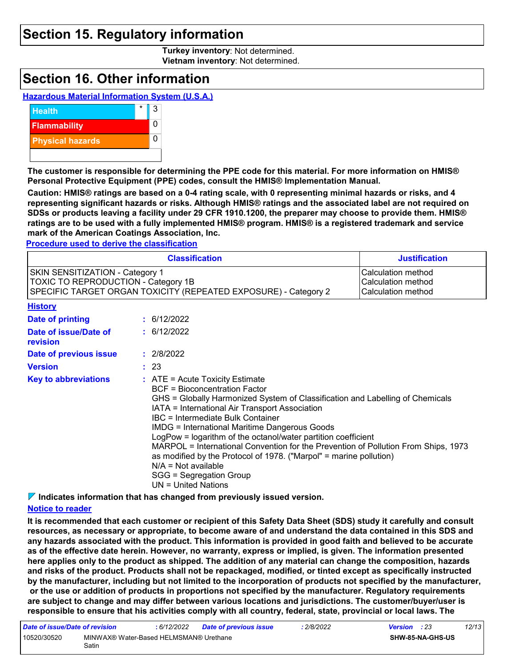### **Section 15. Regulatory information**

**Turkey inventory**: Not determined. **Vietnam inventory**: Not determined.

### **Section 16. Other information**

#### **Hazardous Material Information System (U.S.A.)**



**The customer is responsible for determining the PPE code for this material. For more information on HMIS® Personal Protective Equipment (PPE) codes, consult the HMIS® Implementation Manual.**

**Caution: HMIS® ratings are based on a 0-4 rating scale, with 0 representing minimal hazards or risks, and 4 representing significant hazards or risks. Although HMIS® ratings and the associated label are not required on SDSs or products leaving a facility under 29 CFR 1910.1200, the preparer may choose to provide them. HMIS® ratings are to be used with a fully implemented HMIS® program. HMIS® is a registered trademark and service mark of the American Coatings Association, Inc.**

**Procedure used to derive the classification**

|                                                                                                                                                         | <b>Justification</b> |                                                                                                                                                                                                                                                                                                                                                                                                                                                                                                                                                                                                                     |                                                                       |  |  |  |
|---------------------------------------------------------------------------------------------------------------------------------------------------------|----------------------|---------------------------------------------------------------------------------------------------------------------------------------------------------------------------------------------------------------------------------------------------------------------------------------------------------------------------------------------------------------------------------------------------------------------------------------------------------------------------------------------------------------------------------------------------------------------------------------------------------------------|-----------------------------------------------------------------------|--|--|--|
| <b>SKIN SENSITIZATION - Category 1</b><br><b>TOXIC TO REPRODUCTION - Category 1B</b><br>SPECIFIC TARGET ORGAN TOXICITY (REPEATED EXPOSURE) - Category 2 |                      |                                                                                                                                                                                                                                                                                                                                                                                                                                                                                                                                                                                                                     | <b>Calculation method</b><br>Calculation method<br>Calculation method |  |  |  |
| <b>History</b>                                                                                                                                          |                      |                                                                                                                                                                                                                                                                                                                                                                                                                                                                                                                                                                                                                     |                                                                       |  |  |  |
| Date of printing                                                                                                                                        |                      | : 6/12/2022                                                                                                                                                                                                                                                                                                                                                                                                                                                                                                                                                                                                         |                                                                       |  |  |  |
| Date of issue/Date of<br>revision                                                                                                                       |                      | : 6/12/2022                                                                                                                                                                                                                                                                                                                                                                                                                                                                                                                                                                                                         |                                                                       |  |  |  |
| Date of previous issue                                                                                                                                  |                      | : 2/8/2022                                                                                                                                                                                                                                                                                                                                                                                                                                                                                                                                                                                                          |                                                                       |  |  |  |
| <b>Version</b>                                                                                                                                          |                      | : 23                                                                                                                                                                                                                                                                                                                                                                                                                                                                                                                                                                                                                |                                                                       |  |  |  |
| <b>Key to abbreviations</b>                                                                                                                             |                      | $:$ ATE = Acute Toxicity Estimate<br><b>BCF</b> = Bioconcentration Factor<br>GHS = Globally Harmonized System of Classification and Labelling of Chemicals<br>IATA = International Air Transport Association<br>IBC = Intermediate Bulk Container<br><b>IMDG = International Maritime Dangerous Goods</b><br>LogPow = logarithm of the octanol/water partition coefficient<br>MARPOL = International Convention for the Prevention of Pollution From Ships, 1973<br>as modified by the Protocol of 1978. ("Marpol" = marine pollution)<br>$N/A = Not available$<br>SGG = Segregation Group<br>$UN = United Nations$ |                                                                       |  |  |  |

**Indicates information that has changed from previously issued version.**

#### **Notice to reader**

**It is recommended that each customer or recipient of this Safety Data Sheet (SDS) study it carefully and consult resources, as necessary or appropriate, to become aware of and understand the data contained in this SDS and any hazards associated with the product. This information is provided in good faith and believed to be accurate as of the effective date herein. However, no warranty, express or implied, is given. The information presented here applies only to the product as shipped. The addition of any material can change the composition, hazards and risks of the product. Products shall not be repackaged, modified, or tinted except as specifically instructed by the manufacturer, including but not limited to the incorporation of products not specified by the manufacturer, or the use or addition of products in proportions not specified by the manufacturer. Regulatory requirements are subject to change and may differ between various locations and jurisdictions. The customer/buyer/user is responsible to ensure that his activities comply with all country, federal, state, provincial or local laws. The** 

| Date of issue/Date of revision                                 |  | 6/12/2022 | Date of previous issue | 2/8/2022 | <b>Version</b> : 23 |  | 12/13 |
|----------------------------------------------------------------|--|-----------|------------------------|----------|---------------------|--|-------|
| 10520/30520<br>MINWAX® Water-Based HELMSMAN® Urethane<br>Satin |  |           |                        |          | SHW-85-NA-GHS-US    |  |       |